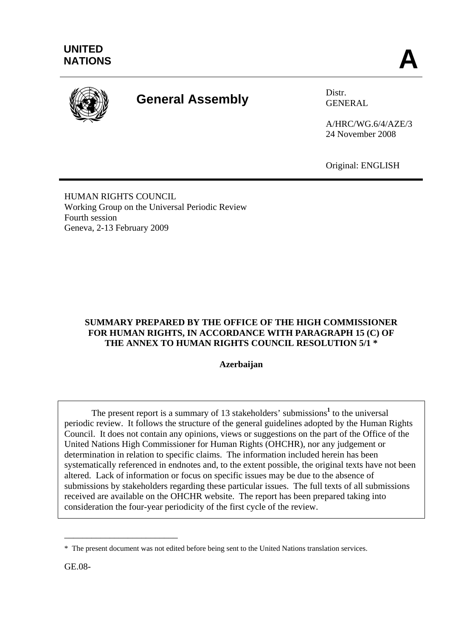

# **General Assembly** Distr.

GENERAL

A/HRC/WG.6/4/AZE/3 24 November 2008

Original: ENGLISH

HUMAN RIGHTS COUNCIL Working Group on the Universal Periodic Review Fourth session Geneva, 2-13 February 2009

## **SUMMARY PREPARED BY THE OFFICE OF THE HIGH COMMISSIONER FOR HUMAN RIGHTS, IN ACCORDANCE WITH PARAGRAPH 15 (C) OF THE ANNEX TO HUMAN RIGHTS COUNCIL RESOLUTION 5/1 \***

**Azerbaijan**

The present report is a summary of 13 stakeholders' submissions<sup>1</sup> to the universal periodic review. It follows the structure of the general guidelines adopted by the Human Rights Council. It does not contain any opinions, views or suggestions on the part of the Office of the United Nations High Commissioner for Human Rights (OHCHR), nor any judgement or determination in relation to specific claims. The information included herein has been systematically referenced in endnotes and, to the extent possible, the original texts have not been altered. Lack of information or focus on specific issues may be due to the absence of submissions by stakeholders regarding these particular issues. The full texts of all submissions received are available on the OHCHR website. The report has been prepared taking into consideration the four-year periodicity of the first cycle of the review.

\_\_\_\_\_\_\_\_\_\_\_\_\_\_\_\_\_\_\_\_\_\_\_\_\_

<sup>\*</sup> The present document was not edited before being sent to the United Nations translation services.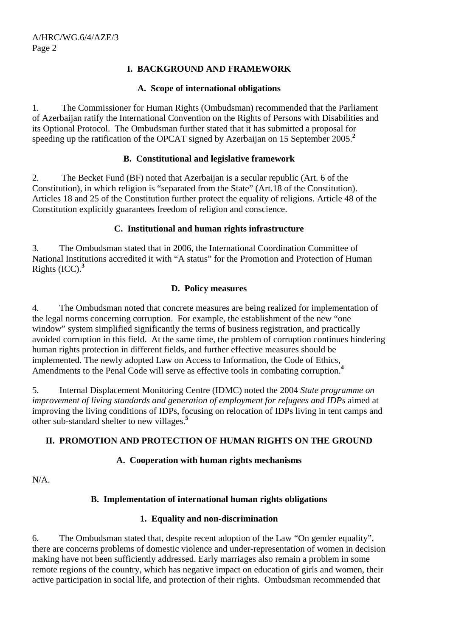## **I. BACKGROUND AND FRAMEWORK**

#### **A. Scope of international obligations**

1. The Commissioner for Human Rights (Ombudsman) recommended that the Parliament of Azerbaijan ratify the International Convention on the Rights of Persons with Disabilities and its Optional Protocol. The Ombudsman further stated that it has submitted a proposal for speeding up the ratification of the OPCAT signed by Azerbaijan on 15 September 2005.**<sup>2</sup>**

## **B. Constitutional and legislative framework**

2. The Becket Fund (BF) noted that Azerbaijan is a secular republic (Art. 6 of the Constitution), in which religion is "separated from the State" (Art.18 of the Constitution). Articles 18 and 25 of the Constitution further protect the equality of religions. Article 48 of the Constitution explicitly guarantees freedom of religion and conscience.

## **C. Institutional and human rights infrastructure**

3. The Ombudsman stated that in 2006, the International Coordination Committee of National Institutions accredited it with "A status" for the Promotion and Protection of Human Rights (ICC).**<sup>3</sup>**

#### **D. Policy measures**

4. The Ombudsman noted that concrete measures are being realized for implementation of the legal norms concerning corruption. For example, the establishment of the new "one window" system simplified significantly the terms of business registration, and practically avoided corruption in this field. At the same time, the problem of corruption continues hindering human rights protection in different fields, and further effective measures should be implemented. The newly adopted Law on Access to Information, the Code of Ethics, Amendments to the Penal Code will serve as effective tools in combating corruption.**<sup>4</sup>**

5. Internal Displacement Monitoring Centre (IDMC) noted the 2004 *State programme on improvement of living standards and generation of employment for refugees and IDPs* aimed at improving the living conditions of IDPs, focusing on relocation of IDPs living in tent camps and other sub-standard shelter to new villages.**<sup>5</sup>**

## **II. PROMOTION AND PROTECTION OF HUMAN RIGHTS ON THE GROUND**

## **A. Cooperation with human rights mechanisms**

N/A.

## **B. Implementation of international human rights obligations**

## **1. Equality and non-discrimination**

6. The Ombudsman stated that, despite recent adoption of the Law "On gender equality", there are concerns problems of domestic violence and under-representation of women in decision making have not been sufficiently addressed. Early marriages also remain a problem in some remote regions of the country, which has negative impact on education of girls and women, their active participation in social life, and protection of their rights. Ombudsman recommended that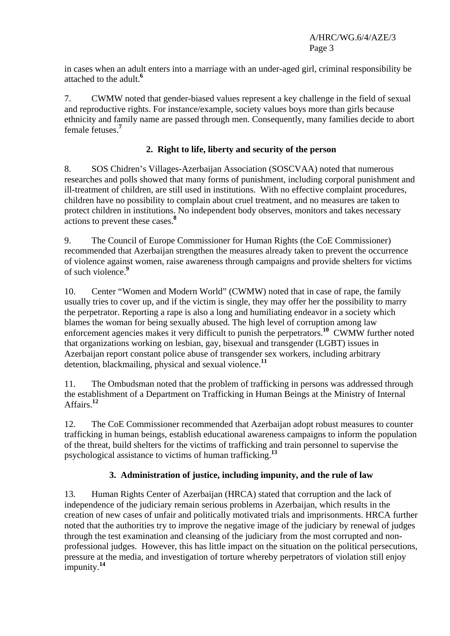in cases when an adult enters into a marriage with an under-aged girl, criminal responsibility be attached to the adult.**<sup>6</sup>**

7. CWMW noted that gender-biased values represent a key challenge in the field of sexual and reproductive rights. For instance/example, society values boys more than girls because ethnicity and family name are passed through men. Consequently, many families decide to abort female fetuses.**<sup>7</sup>**

## **2. Right to life, liberty and security of the person**

8. SOS Chidren's Villages-Azerbaijan Association (SOSCVAA) noted that numerous researches and polls showed that many forms of punishment, including corporal punishment and ill-treatment of children, are still used in institutions. With no effective complaint procedures, children have no possibility to complain about cruel treatment, and no measures are taken to protect children in institutions. No independent body observes, monitors and takes necessary actions to prevent these cases.**<sup>8</sup>**

9. The Council of Europe Commissioner for Human Rights (the CoE Commissioner) recommended that Azerbaijan strengthen the measures already taken to prevent the occurrence of violence against women, raise awareness through campaigns and provide shelters for victims of such violence.**<sup>9</sup>**

10. Center "Women and Modern World" (CWMW) noted that in case of rape, the family usually tries to cover up, and if the victim is single, they may offer her the possibility to marry the perpetrator. Reporting a rape is also a long and humiliating endeavor in a society which blames the woman for being sexually abused. The high level of corruption among law enforcement agencies makes it very difficult to punish the perpetrators.**<sup>10</sup>** CWMW further noted that organizations working on lesbian, gay, bisexual and transgender (LGBT) issues in Azerbaijan report constant police abuse of transgender sex workers, including arbitrary detention, blackmailing, physical and sexual violence.**<sup>11</sup>**

11. The Ombudsman noted that the problem of trafficking in persons was addressed through the establishment of a Department on Trafficking in Human Beings at the Ministry of Internal Affairs.**<sup>12</sup>**

12. The CoE Commissioner recommended that Azerbaijan adopt robust measures to counter trafficking in human beings, establish educational awareness campaigns to inform the population of the threat, build shelters for the victims of trafficking and train personnel to supervise the psychological assistance to victims of human trafficking.**<sup>13</sup>**

## **3. Administration of justice, including impunity, and the rule of law**

13. Human Rights Center of Azerbaijan (HRCA) stated that corruption and the lack of independence of the judiciary remain serious problems in Azerbaijan, which results in the creation of new cases of unfair and politically motivated trials and imprisonments. HRCA further noted that the authorities try to improve the negative image of the judiciary by renewal of judges through the test examination and cleansing of the judiciary from the most corrupted and nonprofessional judges. However, this has little impact on the situation on the political persecutions, pressure at the media, and investigation of torture whereby perpetrators of violation still enjoy impunity.**<sup>14</sup>**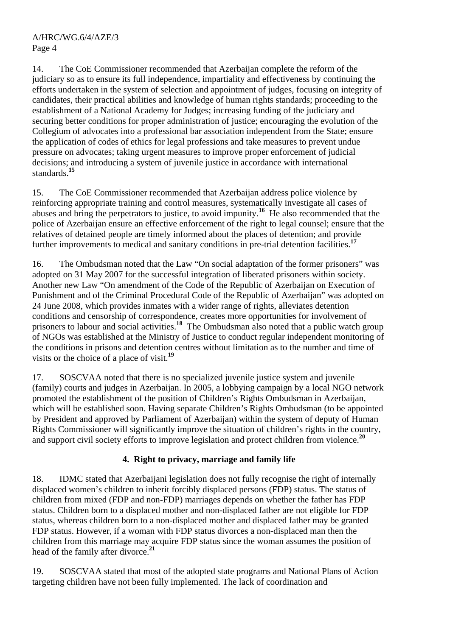14. The CoE Commissioner recommended that Azerbaijan complete the reform of the judiciary so as to ensure its full independence, impartiality and effectiveness by continuing the efforts undertaken in the system of selection and appointment of judges, focusing on integrity of candidates, their practical abilities and knowledge of human rights standards; proceeding to the establishment of a National Academy for Judges; increasing funding of the judiciary and securing better conditions for proper administration of justice; encouraging the evolution of the Collegium of advocates into a professional bar association independent from the State; ensure the application of codes of ethics for legal professions and take measures to prevent undue pressure on advocates; taking urgent measures to improve proper enforcement of judicial decisions; and introducing a system of juvenile justice in accordance with international standards.**<sup>15</sup>**

15. The CoE Commissioner recommended that Azerbaijan address police violence by reinforcing appropriate training and control measures, systematically investigate all cases of abuses and bring the perpetrators to justice, to avoid impunity.**<sup>16</sup>** He also recommended that the police of Azerbaijan ensure an effective enforcement of the right to legal counsel; ensure that the relatives of detained people are timely informed about the places of detention; and provide further improvements to medical and sanitary conditions in pre-trial detention facilities.**<sup>17</sup>**

16. The Ombudsman noted that the Law "On social adaptation of the former prisoners" was adopted on 31 May 2007 for the successful integration of liberated prisoners within society. Another new Law "On amendment of the Code of the Republic of Azerbaijan on Execution of Punishment and of the Criminal Procedural Code of the Republic of Azerbaijan" was adopted on 24 June 2008, which provides inmates with a wider range of rights, alleviates detention conditions and censorship of correspondence, creates more opportunities for involvement of prisoners to labour and social activities.**<sup>18</sup>** The Ombudsman also noted that a public watch group of NGOs was established at the Ministry of Justice to conduct regular independent monitoring of the conditions in prisons and detention centres without limitation as to the number and time of visits or the choice of a place of visit.**<sup>19</sup>**

17. SOSCVAA noted that there is no specialized juvenile justice system and juvenile (family) courts and judges in Azerbaijan. In 2005, a lobbying campaign by a local NGO network promoted the establishment of the position of Children's Rights Ombudsman in Azerbaijan, which will be established soon. Having separate Children's Rights Ombudsman (to be appointed by President and approved by Parliament of Azerbaijan) within the system of deputy of Human Rights Commissioner will significantly improve the situation of children's rights in the country, and support civil society efforts to improve legislation and protect children from violence.**<sup>20</sup>**

## **4. Right to privacy, marriage and family life**

18. IDMC stated that Azerbaijani legislation does not fully recognise the right of internally displaced women's children to inherit forcibly displaced persons (FDP) status. The status of children from mixed (FDP and non-FDP) marriages depends on whether the father has FDP status. Children born to a displaced mother and non-displaced father are not eligible for FDP status, whereas children born to a non-displaced mother and displaced father may be granted FDP status. However, if a woman with FDP status divorces a non-displaced man then the children from this marriage may acquire FDP status since the woman assumes the position of head of the family after divorce.**<sup>21</sup>**

19. SOSCVAA stated that most of the adopted state programs and National Plans of Action targeting children have not been fully implemented. The lack of coordination and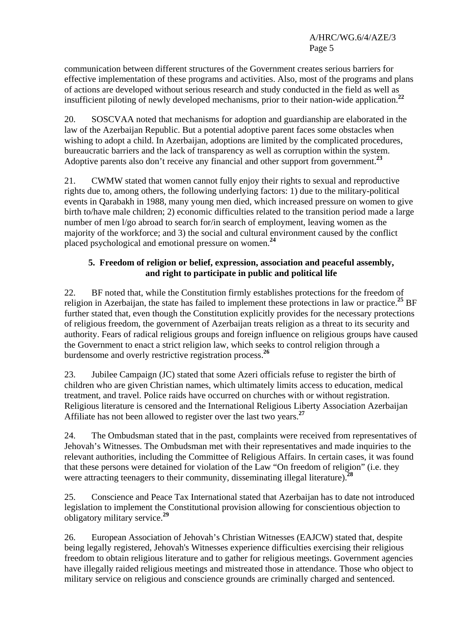communication between different structures of the Government creates serious barriers for effective implementation of these programs and activities. Also, most of the programs and plans of actions are developed without serious research and study conducted in the field as well as insufficient piloting of newly developed mechanisms, prior to their nation-wide application.**<sup>22</sup>**

20. SOSCVAA noted that mechanisms for adoption and guardianship are elaborated in the law of the Azerbaijan Republic. But a potential adoptive parent faces some obstacles when wishing to adopt a child. In Azerbaijan, adoptions are limited by the complicated procedures, bureaucratic barriers and the lack of transparency as well as corruption within the system. Adoptive parents also don't receive any financial and other support from government.**<sup>23</sup>**

21. CWMW stated that women cannot fully enjoy their rights to sexual and reproductive rights due to, among others, the following underlying factors: 1) due to the military-political events in Qarabakh in 1988, many young men died, which increased pressure on women to give birth to/have male children; 2) economic difficulties related to the transition period made a large number of men l/go abroad to search for/in search of employment, leaving women as the majority of the workforce; and 3) the social and cultural environment caused by the conflict placed psychological and emotional pressure on women.**<sup>24</sup>**

## **5. Freedom of religion or belief, expression, association and peaceful assembly, and right to participate in public and political life**

22. BF noted that, while the Constitution firmly establishes protections for the freedom of religion in Azerbaijan, the state has failed to implement these protections in law or practice.**<sup>25</sup>** BF further stated that, even though the Constitution explicitly provides for the necessary protections of religious freedom, the government of Azerbaijan treats religion as a threat to its security and authority. Fears of radical religious groups and foreign influence on religious groups have caused the Government to enact a strict religion law, which seeks to control religion through a burdensome and overly restrictive registration process.**<sup>26</sup>**

23. Jubilee Campaign (JC) stated that some Azeri officials refuse to register the birth of children who are given Christian names, which ultimately limits access to education, medical treatment, and travel. Police raids have occurred on churches with or without registration. Religious literature is censored and the International Religious Liberty Association Azerbaijan Affiliate has not been allowed to register over the last two vears.<sup>27</sup>

24. The Ombudsman stated that in the past, complaints were received from representatives of Jehovah's Witnesses. The Ombudsman met with their representatives and made inquiries to the relevant authorities, including the Committee of Religious Affairs. In certain cases, it was found that these persons were detained for violation of the Law "On freedom of religion" (i.e. they were attracting teenagers to their community, disseminating illegal literature).**<sup>28</sup>**

25. Conscience and Peace Tax International stated that Azerbaijan has to date not introduced legislation to implement the Constitutional provision allowing for conscientious objection to obligatory military service.**<sup>29</sup>**

26. European Association of Jehovah's Christian Witnesses (EAJCW) stated that, despite being legally registered, Jehovah's Witnesses experience difficulties exercising their religious freedom to obtain religious literature and to gather for religious meetings. Government agencies have illegally raided religious meetings and mistreated those in attendance. Those who object to military service on religious and conscience grounds are criminally charged and sentenced.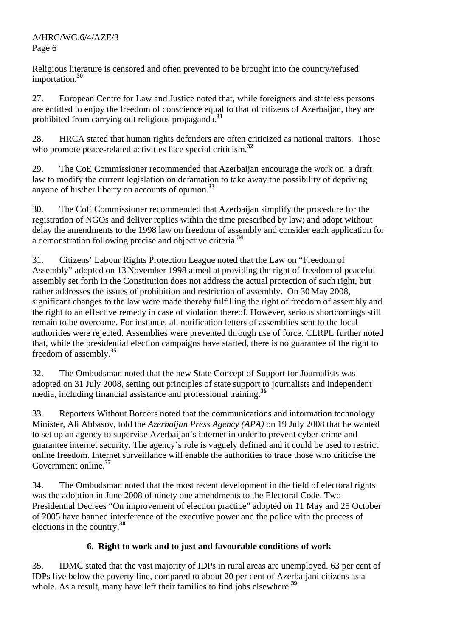Religious literature is censored and often prevented to be brought into the country/refused importation.**<sup>30</sup>**

27. European Centre for Law and Justice noted that, while foreigners and stateless persons are entitled to enjoy the freedom of conscience equal to that of citizens of Azerbaijan, they are prohibited from carrying out religious propaganda.**<sup>31</sup>**

28. HRCA stated that human rights defenders are often criticized as national traitors. Those who promote peace-related activities face special criticism.<sup>32</sup>

29. The CoE Commissioner recommended that Azerbaijan encourage the work on a draft law to modify the current legislation on defamation to take away the possibility of depriving anyone of his/her liberty on accounts of opinion.**<sup>33</sup>**

30. The CoE Commissioner recommended that Azerbaijan simplify the procedure for the registration of NGOs and deliver replies within the time prescribed by law; and adopt without delay the amendments to the 1998 law on freedom of assembly and consider each application for a demonstration following precise and objective criteria.**<sup>34</sup>**

31. Citizens' Labour Rights Protection League noted that the Law on "Freedom of Assembly" adopted on 13 November 1998 aimed at providing the right of freedom of peaceful assembly set forth in the Constitution does not address the actual protection of such right, but rather addresses the issues of prohibition and restriction of assembly. On 30 May 2008, significant changes to the law were made thereby fulfilling the right of freedom of assembly and the right to an effective remedy in case of violation thereof. However, serious shortcomings still remain to be overcome. For instance, all notification letters of assemblies sent to the local authorities were rejected. Assemblies were prevented through use of force. CLRPL further noted that, while the presidential election campaigns have started, there is no guarantee of the right to freedom of assembly.**<sup>35</sup>**

32. The Ombudsman noted that the new State Concept of Support for Journalists was adopted on 31 July 2008, setting out principles of state support to journalists and independent media, including financial assistance and professional training.**<sup>36</sup>**

33. Reporters Without Borders noted that the communications and information technology Minister, Ali Abbasov, told the *Azerbaijan Press Agency (APA)* on 19 July 2008 that he wanted to set up an agency to supervise Azerbaijan's internet in order to prevent cyber-crime and guarantee internet security. The agency's role is vaguely defined and it could be used to restrict online freedom. Internet surveillance will enable the authorities to trace those who criticise the Government online.**<sup>37</sup>**

34. The Ombudsman noted that the most recent development in the field of electoral rights was the adoption in June 2008 of ninety one amendments to the Electoral Code. Two Presidential Decrees "On improvement of election practice" adopted on 11 May and 25 October of 2005 have banned interference of the executive power and the police with the process of elections in the country.**<sup>38</sup>**

## **6. Right to work and to just and favourable conditions of work**

35. IDMC stated that the vast majority of IDPs in rural areas are unemployed. 63 per cent of IDPs live below the poverty line, compared to about 20 per cent of Azerbaijani citizens as a whole. As a result, many have left their families to find jobs elsewhere.<sup>39</sup>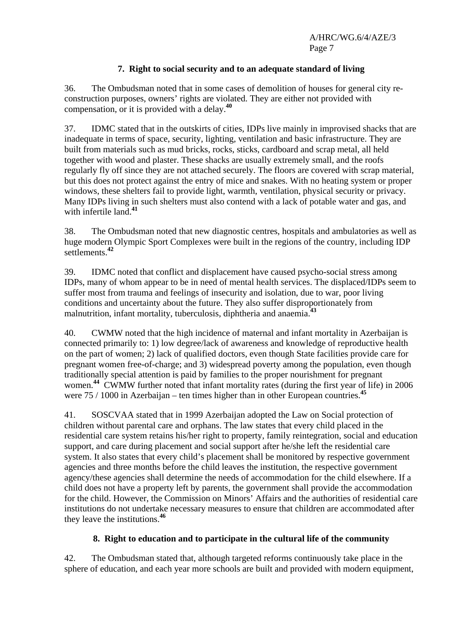## **7. Right to social security and to an adequate standard of living**

36. The Ombudsman noted that in some cases of demolition of houses for general city reconstruction purposes, owners' rights are violated. They are either not provided with compensation, or it is provided with a delay.**<sup>40</sup>**

37. IDMC stated that in the outskirts of cities, IDPs live mainly in improvised shacks that are inadequate in terms of space, security, lighting, ventilation and basic infrastructure. They are built from materials such as mud bricks, rocks, sticks, cardboard and scrap metal, all held together with wood and plaster. These shacks are usually extremely small, and the roofs regularly fly off since they are not attached securely. The floors are covered with scrap material, but this does not protect against the entry of mice and snakes. With no heating system or proper windows, these shelters fail to provide light, warmth, ventilation, physical security or privacy. Many IDPs living in such shelters must also contend with a lack of potable water and gas, and with infertile land.**<sup>41</sup>**

38. The Ombudsman noted that new diagnostic centres, hospitals and ambulatories as well as huge modern Olympic Sport Complexes were built in the regions of the country, including IDP settlements.**<sup>42</sup>**

39. IDMC noted that conflict and displacement have caused psycho-social stress among IDPs, many of whom appear to be in need of mental health services. The displaced/IDPs seem to suffer most from trauma and feelings of insecurity and isolation, due to war, poor living conditions and uncertainty about the future. They also suffer disproportionately from malnutrition, infant mortality, tuberculosis, diphtheria and anaemia.**<sup>43</sup>**

40. CWMW noted that the high incidence of maternal and infant mortality in Azerbaijan is connected primarily to: 1) low degree/lack of awareness and knowledge of reproductive health on the part of women; 2) lack of qualified doctors, even though State facilities provide care for pregnant women free-of-charge; and 3) widespread poverty among the population, even though traditionally special attention is paid by families to the proper nourishment for pregnant women. **<sup>44</sup>** CWMW further noted that infant mortality rates (during the first year of life) in 2006 were 75 / 1000 in Azerbaijan – ten times higher than in other European countries.**<sup>45</sup>**

41. SOSCVAA stated that in 1999 Azerbaijan adopted the Law on Social protection of children without parental care and orphans. The law states that every child placed in the residential care system retains his/her right to property, family reintegration, social and education support, and care during placement and social support after he/she left the residential care system. It also states that every child's placement shall be monitored by respective government agencies and three months before the child leaves the institution, the respective government agency/these agencies shall determine the needs of accommodation for the child elsewhere. If a child does not have a property left by parents, the government shall provide the accommodation for the child. However, the Commission on Minors' Affairs and the authorities of residential care institutions do not undertake necessary measures to ensure that children are accommodated after they leave the institutions.**<sup>46</sup>**

## **8. Right to education and to participate in the cultural life of the community**

42. The Ombudsman stated that, although targeted reforms continuously take place in the sphere of education, and each year more schools are built and provided with modern equipment,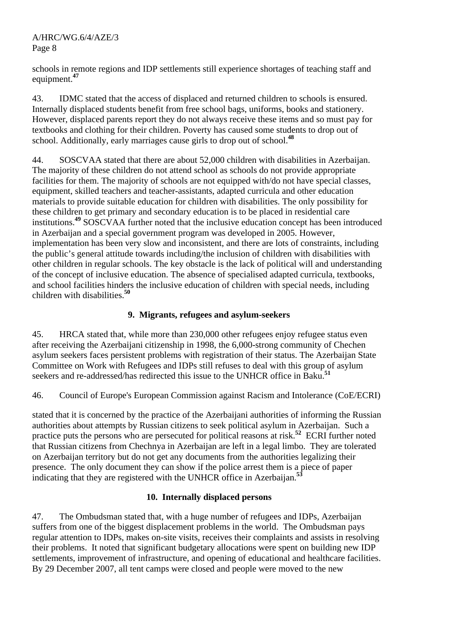schools in remote regions and IDP settlements still experience shortages of teaching staff and equipment.**<sup>47</sup>**

43. IDMC stated that the access of displaced and returned children to schools is ensured. Internally displaced students benefit from free school bags, uniforms, books and stationery. However, displaced parents report they do not always receive these items and so must pay for textbooks and clothing for their children. Poverty has caused some students to drop out of school. Additionally, early marriages cause girls to drop out of school.**<sup>48</sup>**

44. SOSCVAA stated that there are about 52,000 children with disabilities in Azerbaijan. The majority of these children do not attend school as schools do not provide appropriate facilities for them. The majority of schools are not equipped with/do not have special classes, equipment, skilled teachers and teacher-assistants, adapted curricula and other education materials to provide suitable education for children with disabilities. The only possibility for these children to get primary and secondary education is to be placed in residential care institutions.**<sup>49</sup>** SOSCVAA further noted that the inclusive education concept has been introduced in Azerbaijan and a special government program was developed in 2005. However, implementation has been very slow and inconsistent, and there are lots of constraints, including the public's general attitude towards including/the inclusion of children with disabilities with other children in regular schools. The key obstacle is the lack of political will and understanding of the concept of inclusive education. The absence of specialised adapted curricula, textbooks, and school facilities hinders the inclusive education of children with special needs, including children with disabilities.**<sup>50</sup>**

## **9. Migrants, refugees and asylum-seekers**

45. HRCA stated that, while more than 230,000 other refugees enjoy refugee status even after receiving the Azerbaijani citizenship in 1998, the 6,000-strong community of Chechen asylum seekers faces persistent problems with registration of their status. The Azerbaijan State Committee on Work with Refugees and IDPs still refuses to deal with this group of asylum seekers and re-addressed/has redirected this issue to the UNHCR office in Baku.**<sup>51</sup>**

46. Council of Europe's European Commission against Racism and Intolerance (CoE/ECRI)

stated that it is concerned by the practice of the Azerbaijani authorities of informing the Russian authorities about attempts by Russian citizens to seek political asylum in Azerbaijan. Such a practice puts the persons who are persecuted for political reasons at risk.**<sup>52</sup>** ECRI further noted that Russian citizens from Chechnya in Azerbaijan are left in a legal limbo. They are tolerated on Azerbaijan territory but do not get any documents from the authorities legalizing their presence. The only document they can show if the police arrest them is a piece of paper indicating that they are registered with the UNHCR office in Azerbaijan.**<sup>53</sup>**

## **10. Internally displaced persons**

47. The Ombudsman stated that, with a huge number of refugees and IDPs, Azerbaijan suffers from one of the biggest displacement problems in the world. The Ombudsman pays regular attention to IDPs, makes on-site visits, receives their complaints and assists in resolving their problems. It noted that significant budgetary allocations were spent on building new IDP settlements, improvement of infrastructure, and opening of educational and healthcare facilities. By 29 December 2007, all tent camps were closed and people were moved to the new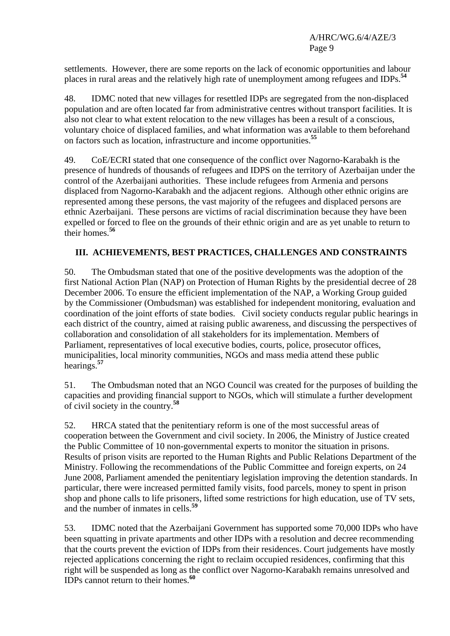settlements. However, there are some reports on the lack of economic opportunities and labour places in rural areas and the relatively high rate of unemployment among refugees and IDPs.**<sup>54</sup>**

48. IDMC noted that new villages for resettled IDPs are segregated from the non-displaced population and are often located far from administrative centres without transport facilities. It is also not clear to what extent relocation to the new villages has been a result of a conscious, voluntary choice of displaced families, and what information was available to them beforehand on factors such as location, infrastructure and income opportunities.**<sup>55</sup>**

49. CoE/ECRI stated that one consequence of the conflict over Nagorno-Karabakh is the presence of hundreds of thousands of refugees and IDPS on the territory of Azerbaijan under the control of the Azerbaijani authorities. These include refugees from Armenia and persons displaced from Nagorno-Karabakh and the adjacent regions. Although other ethnic origins are represented among these persons, the vast majority of the refugees and displaced persons are ethnic Azerbaijani. These persons are victims of racial discrimination because they have been expelled or forced to flee on the grounds of their ethnic origin and are as yet unable to return to their homes.**<sup>56</sup>**

## **III. ACHIEVEMENTS, BEST PRACTICES, CHALLENGES AND CONSTRAINTS**

50. The Ombudsman stated that one of the positive developments was the adoption of the first National Action Plan (NAP) on Protection of Human Rights by the presidential decree of 28 December 2006. To ensure the efficient implementation of the NAP, a Working Group guided by the Commissioner (Ombudsman) was established for independent monitoring, evaluation and coordination of the joint efforts of state bodies. Civil society conducts regular public hearings in each district of the country, aimed at raising public awareness, and discussing the perspectives of collaboration and consolidation of all stakeholders for its implementation. Members of Parliament, representatives of local executive bodies, courts, police, prosecutor offices, municipalities, local minority communities, NGOs and mass media attend these public hearings.**<sup>57</sup>**

51. The Ombudsman noted that an NGO Council was created for the purposes of building the capacities and providing financial support to NGOs, which will stimulate a further development of civil society in the country.**<sup>58</sup>**

52. HRCA stated that the penitentiary reform is one of the most successful areas of cooperation between the Government and civil society. In 2006, the Ministry of Justice created the Public Committee of 10 non-governmental experts to monitor the situation in prisons. Results of prison visits are reported to the Human Rights and Public Relations Department of the Ministry. Following the recommendations of the Public Committee and foreign experts, on 24 June 2008, Parliament amended the penitentiary legislation improving the detention standards. In particular, there were increased permitted family visits, food parcels, money to spent in prison shop and phone calls to life prisoners, lifted some restrictions for high education, use of TV sets, and the number of inmates in cells.**<sup>59</sup>**

53. IDMC noted that the Azerbaijani Government has supported some 70,000 IDPs who have been squatting in private apartments and other IDPs with a resolution and decree recommending that the courts prevent the eviction of IDPs from their residences. Court judgements have mostly rejected applications concerning the right to reclaim occupied residences, confirming that this right will be suspended as long as the conflict over Nagorno-Karabakh remains unresolved and IDPs cannot return to their homes.**<sup>60</sup>**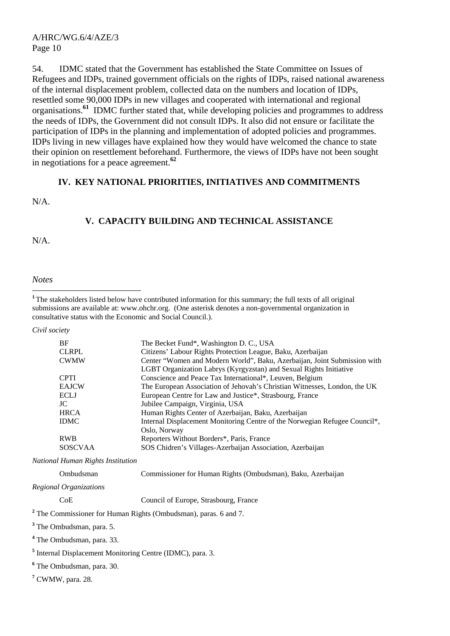54. IDMC stated that the Government has established the State Committee on Issues of Refugees and IDPs, trained government officials on the rights of IDPs, raised national awareness of the internal displacement problem, collected data on the numbers and location of IDPs, resettled some 90,000 IDPs in new villages and cooperated with international and regional organisations.**<sup>61</sup>** IDMC further stated that, while developing policies and programmes to address the needs of IDPs, the Government did not consult IDPs. It also did not ensure or facilitate the participation of IDPs in the planning and implementation of adopted policies and programmes. IDPs living in new villages have explained how they would have welcomed the chance to state their opinion on resettlement beforehand. Furthermore, the views of IDPs have not been sought in negotiations for a peace agreement.**<sup>62</sup>**

#### **IV. KEY NATIONAL PRIORITIES, INITIATIVES AND COMMITMENTS**

N/A.

#### **V. CAPACITY BUILDING AND TECHNICAL ASSISTANCE**

N/A.

#### *Notes*

 $\overline{a}$ 

<sup>1</sup>The stakeholders listed below have contributed information for this summary; the full texts of all original submissions are available at: www.ohchr.org. (One asterisk denotes a non-governmental organization in consultative status with the Economic and Social Council.).

*Civil society* 

| BF           | The Becket Fund*, Washington D. C., USA                                    |
|--------------|----------------------------------------------------------------------------|
| <b>CLRPL</b> | Citizens' Labour Rights Protection League, Baku, Azerbaijan                |
| <b>CWMW</b>  | Center "Women and Modern World", Baku, Azerbaijan, Joint Submission with   |
|              | LGBT Organization Labrys (Kyrgyzstan) and Sexual Rights Initiative         |
| <b>CPTI</b>  | Conscience and Peace Tax International*, Leuven, Belgium                   |
| <b>EAJCW</b> | The European Association of Jehovah's Christian Witnesses, London, the UK  |
| <b>ECLJ</b>  | European Centre for Law and Justice*, Strasbourg, France                   |
| JC.          | Jubilee Campaign, Virginia, USA                                            |
| <b>HRCA</b>  | Human Rights Center of Azerbaijan, Baku, Azerbaijan                        |
| <b>IDMC</b>  | Internal Displacement Monitoring Centre of the Norwegian Refugee Council*, |
|              | Oslo, Norway                                                               |
| <b>RWB</b>   | Reporters Without Borders*, Paris, France                                  |
| SOSCVAA      | SOS Chidren's Villages-Azerbaijan Association, Azerbaijan                  |

*National Human Rights Institution*

| Ombudsman | Commissioner for Human Rights (Ombudsman), Baku, Azerbaijan |
|-----------|-------------------------------------------------------------|
| _         |                                                             |

*Regional Organizations*

CoE Council of Europe, Strasbourg, France

<sup>2</sup> The Commissioner for Human Rights (Ombudsman), paras. 6 and 7.

**3** The Ombudsman, para. 5.

**4** The Ombudsman, para. 33.

<sup>5</sup> Internal Displacement Monitoring Centre (IDMC), para. 3.

**6** The Ombudsman, para. 30.

**7** CWMW, para. 28.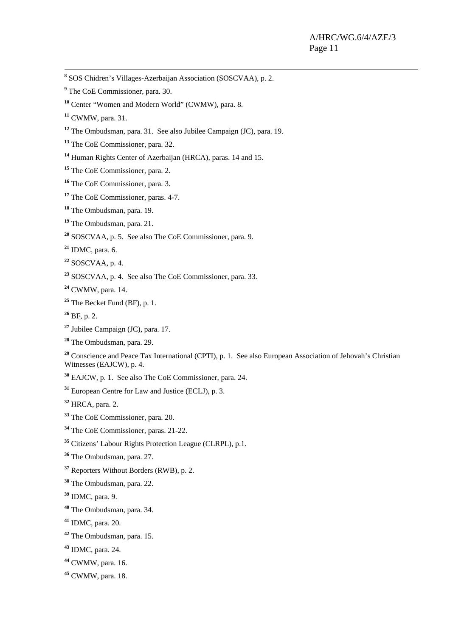**8** SOS Chidren's Villages-Azerbaijan Association (SOSCVAA), p. 2.

- <sup>9</sup> The CoE Commissioner, para. 30.
- Center "Women and Modern World" (CWMW), para. 8.
- CWMW, para. 31.
- The Ombudsman, para. 31. See also Jubilee Campaign (JC), para. 19.
- <sup>13</sup> The CoE Commissioner, para. 32.
- Human Rights Center of Azerbaijan (HRCA), paras. 14 and 15.
- The CoE Commissioner, para. 2.
- The CoE Commissioner, para. 3.
- <sup>17</sup> The CoE Commissioner, paras. 4-7.
- The Ombudsman, para. 19.
- The Ombudsman, para. 21.
- SOSCVAA, p. 5. See also The CoE Commissioner, para. 9.
- IDMC, para. 6.
- SOSCVAA, p. 4.
- SOSCVAA, p. 4. See also The CoE Commissioner, para. 33.
- CWMW, para. 14.
- The Becket Fund (BF), p. 1.
- BF, p. 2.
- Jubilee Campaign (JC), para. 17.
- The Ombudsman, para. 29.
- <sup>29</sup> Conscience and Peace Tax International (CPTI), p. 1. See also European Association of Jehovah's Christian Witnesses (EAJCW), p. 4.
- EAJCW, p. 1. See also The CoE Commissioner, para. 24.
- European Centre for Law and Justice (ECLJ), p. 3.
- HRCA, para. 2.
- The CoE Commissioner, para. 20.
- The CoE Commissioner, paras. 21-22.
- Citizens' Labour Rights Protection League (CLRPL), p.1.
- The Ombudsman, para. 27.
- Reporters Without Borders (RWB), p. 2.
- The Ombudsman, para. 22.
- IDMC, para. 9.
- The Ombudsman, para. 34.
- IDMC, para. 20.
- The Ombudsman, para. 15.
- IDMC, para. 24.
- CWMW, para. 16.
- CWMW, para. 18.